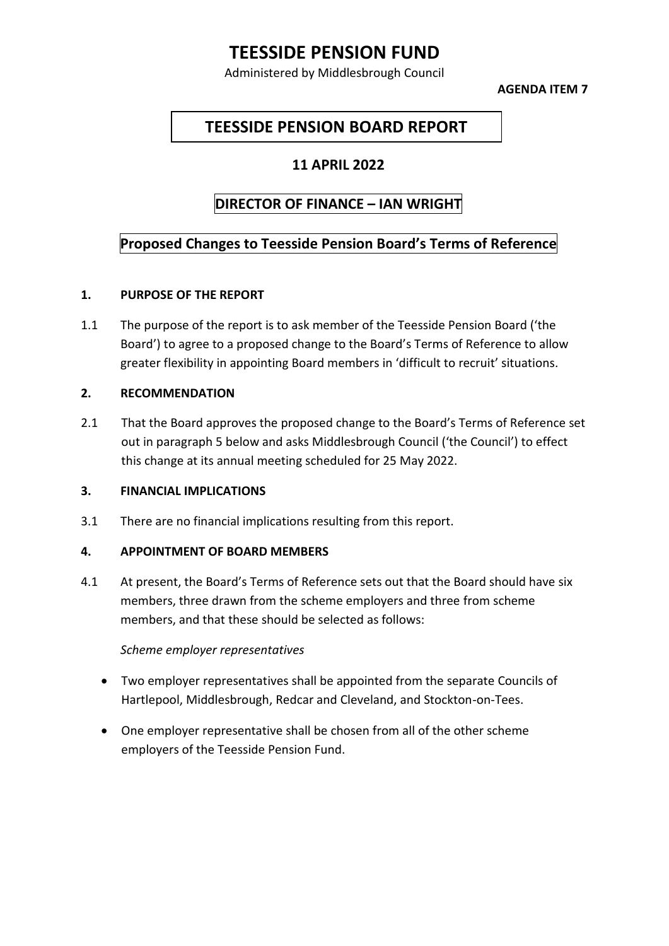# **TEESSIDE PENSION FUND**

Administered by Middlesbrough Council

**AGENDA ITEM 7**

# **TEESSIDE PENSION BOARD REPORT**

## **11 APRIL 2022**

# **DIRECTOR OF FINANCE – IAN WRIGHT**

## **Proposed Changes to Teesside Pension Board's Terms of Reference**

## **1. PURPOSE OF THE REPORT**

1.1 The purpose of the report is to ask member of the Teesside Pension Board ('the Board') to agree to a proposed change to the Board's Terms of Reference to allow greater flexibility in appointing Board members in 'difficult to recruit' situations.

## **2. RECOMMENDATION**

2.1 That the Board approves the proposed change to the Board's Terms of Reference set out in paragraph 5 below and asks Middlesbrough Council ('the Council') to effect this change at its annual meeting scheduled for 25 May 2022.

## **3. FINANCIAL IMPLICATIONS**

3.1 There are no financial implications resulting from this report.

## **4. APPOINTMENT OF BOARD MEMBERS**

4.1 At present, the Board's Terms of Reference sets out that the Board should have six members, three drawn from the scheme employers and three from scheme members, and that these should be selected as follows:

#### *Scheme employer representatives*

- Two employer representatives shall be appointed from the separate Councils of Hartlepool, Middlesbrough, Redcar and Cleveland, and Stockton-on-Tees.
- One employer representative shall be chosen from all of the other scheme employers of the Teesside Pension Fund.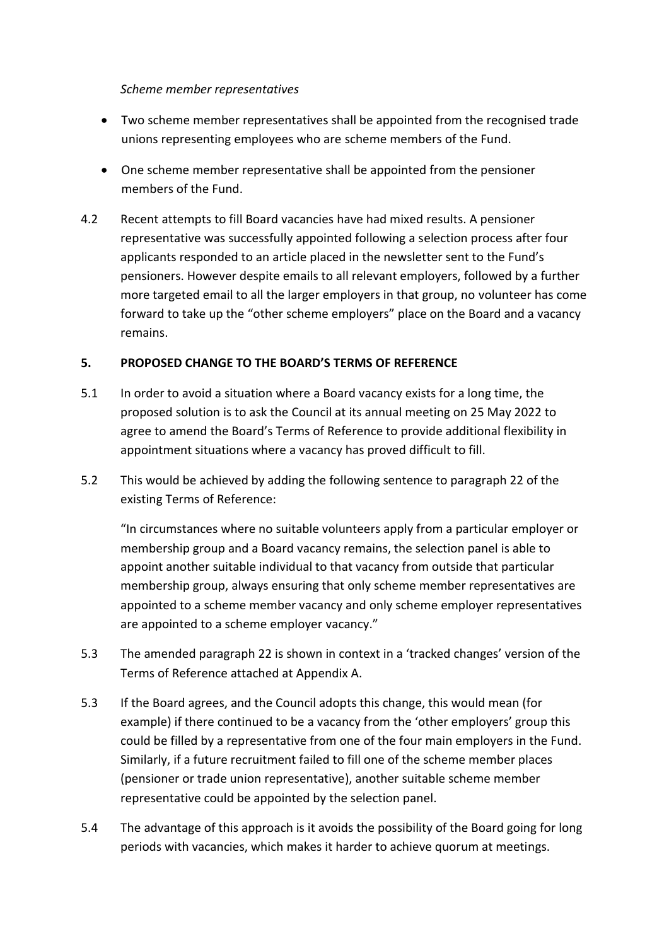#### *Scheme member representatives*

- Two scheme member representatives shall be appointed from the recognised trade unions representing employees who are scheme members of the Fund.
- One scheme member representative shall be appointed from the pensioner members of the Fund.
- 4.2 Recent attempts to fill Board vacancies have had mixed results. A pensioner representative was successfully appointed following a selection process after four applicants responded to an article placed in the newsletter sent to the Fund's pensioners. However despite emails to all relevant employers, followed by a further more targeted email to all the larger employers in that group, no volunteer has come forward to take up the "other scheme employers" place on the Board and a vacancy remains.

## **5. PROPOSED CHANGE TO THE BOARD'S TERMS OF REFERENCE**

- 5.1 In order to avoid a situation where a Board vacancy exists for a long time, the proposed solution is to ask the Council at its annual meeting on 25 May 2022 to agree to amend the Board's Terms of Reference to provide additional flexibility in appointment situations where a vacancy has proved difficult to fill.
- 5.2 This would be achieved by adding the following sentence to paragraph 22 of the existing Terms of Reference:

"In circumstances where no suitable volunteers apply from a particular employer or membership group and a Board vacancy remains, the selection panel is able to appoint another suitable individual to that vacancy from outside that particular membership group, always ensuring that only scheme member representatives are appointed to a scheme member vacancy and only scheme employer representatives are appointed to a scheme employer vacancy."

- 5.3 The amended paragraph 22 is shown in context in a 'tracked changes' version of the Terms of Reference attached at Appendix A.
- 5.3 If the Board agrees, and the Council adopts this change, this would mean (for example) if there continued to be a vacancy from the 'other employers' group this could be filled by a representative from one of the four main employers in the Fund. Similarly, if a future recruitment failed to fill one of the scheme member places (pensioner or trade union representative), another suitable scheme member representative could be appointed by the selection panel.
- 5.4 The advantage of this approach is it avoids the possibility of the Board going for long periods with vacancies, which makes it harder to achieve quorum at meetings.